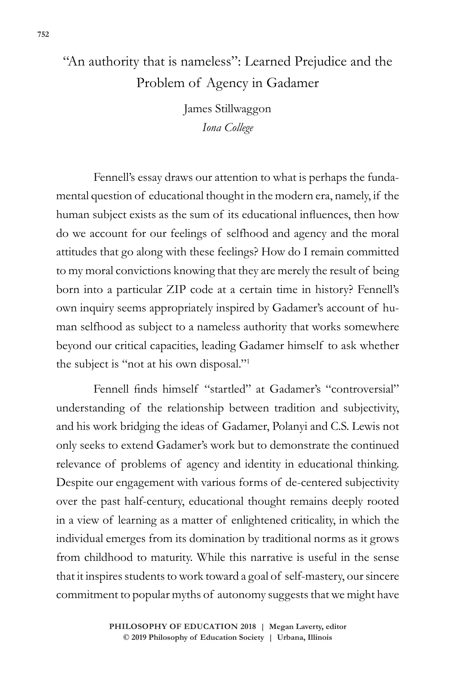## "An authority that is nameless": Learned Prejudice and the Problem of Agency in Gadamer

James Stillwaggon *Iona College*

Fennell's essay draws our attention to what is perhaps the fundamental question of educational thought in the modern era, namely, if the human subject exists as the sum of its educational influences, then how do we account for our feelings of selfhood and agency and the moral attitudes that go along with these feelings? How do I remain committed to my moral convictions knowing that they are merely the result of being born into a particular ZIP code at a certain time in history? Fennell's own inquiry seems appropriately inspired by Gadamer's account of human selfhood as subject to a nameless authority that works somewhere beyond our critical capacities, leading Gadamer himself to ask whether the subject is "not at his own disposal."1

Fennell finds himself "startled" at Gadamer's "controversial" understanding of the relationship between tradition and subjectivity, and his work bridging the ideas of Gadamer, Polanyi and C.S. Lewis not only seeks to extend Gadamer's work but to demonstrate the continued relevance of problems of agency and identity in educational thinking. Despite our engagement with various forms of de-centered subjectivity over the past half-century, educational thought remains deeply rooted in a view of learning as a matter of enlightened criticality, in which the individual emerges from its domination by traditional norms as it grows from childhood to maturity. While this narrative is useful in the sense that it inspires students to work toward a goal of self-mastery, our sincere commitment to popular myths of autonomy suggests that we might have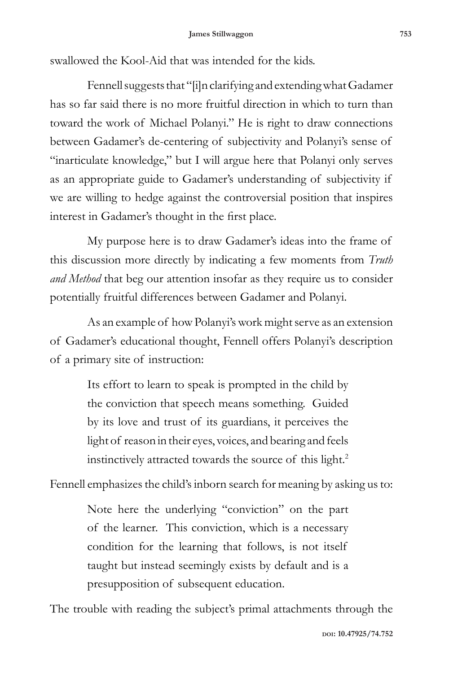swallowed the Kool-Aid that was intended for the kids.

Fennell suggests that "[i]n clarifying and extending what Gadamer has so far said there is no more fruitful direction in which to turn than toward the work of Michael Polanyi." He is right to draw connections between Gadamer's de-centering of subjectivity and Polanyi's sense of "inarticulate knowledge," but I will argue here that Polanyi only serves as an appropriate guide to Gadamer's understanding of subjectivity if we are willing to hedge against the controversial position that inspires interest in Gadamer's thought in the first place.

My purpose here is to draw Gadamer's ideas into the frame of this discussion more directly by indicating a few moments from *Truth and Method* that beg our attention insofar as they require us to consider potentially fruitful differences between Gadamer and Polanyi.

As an example of how Polanyi's work might serve as an extension of Gadamer's educational thought, Fennell offers Polanyi's description of a primary site of instruction:

> Its effort to learn to speak is prompted in the child by the conviction that speech means something. Guided by its love and trust of its guardians, it perceives the light of reason in their eyes, voices, and bearing and feels instinctively attracted towards the source of this light.<sup>2</sup>

Fennell emphasizes the child's inborn search for meaning by asking us to:

Note here the underlying "conviction" on the part of the learner. This conviction, which is a necessary condition for the learning that follows, is not itself taught but instead seemingly exists by default and is a presupposition of subsequent education.

The trouble with reading the subject's primal attachments through the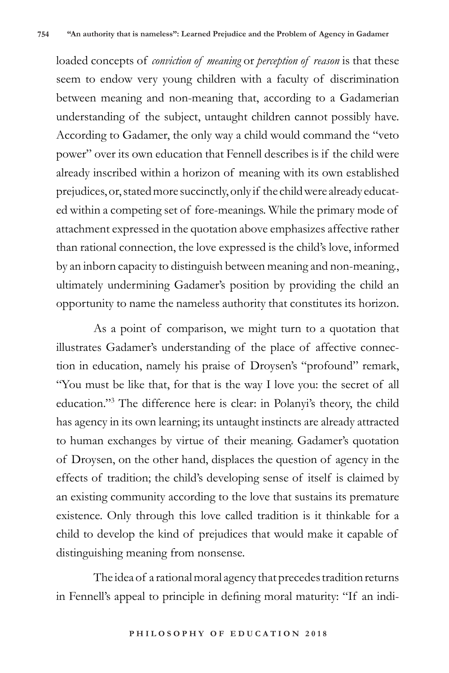loaded concepts of *conviction of meaning* or *perception of reason* is that these seem to endow very young children with a faculty of discrimination between meaning and non-meaning that, according to a Gadamerian understanding of the subject, untaught children cannot possibly have. According to Gadamer, the only way a child would command the "veto power" over its own education that Fennell describes is if the child were already inscribed within a horizon of meaning with its own established prejudices, or, stated more succinctly, only if the child were already educated within a competing set of fore-meanings. While the primary mode of attachment expressed in the quotation above emphasizes affective rather than rational connection, the love expressed is the child's love, informed by an inborn capacity to distinguish between meaning and non-meaning., ultimately undermining Gadamer's position by providing the child an opportunity to name the nameless authority that constitutes its horizon.

As a point of comparison, we might turn to a quotation that illustrates Gadamer's understanding of the place of affective connection in education, namely his praise of Droysen's "profound" remark, "You must be like that, for that is the way I love you: the secret of all education."3 The difference here is clear: in Polanyi's theory, the child has agency in its own learning; its untaught instincts are already attracted to human exchanges by virtue of their meaning. Gadamer's quotation of Droysen, on the other hand, displaces the question of agency in the effects of tradition; the child's developing sense of itself is claimed by an existing community according to the love that sustains its premature existence. Only through this love called tradition is it thinkable for a child to develop the kind of prejudices that would make it capable of distinguishing meaning from nonsense.

The idea of a rational moral agency that precedes tradition returns in Fennell's appeal to principle in defining moral maturity: "If an indi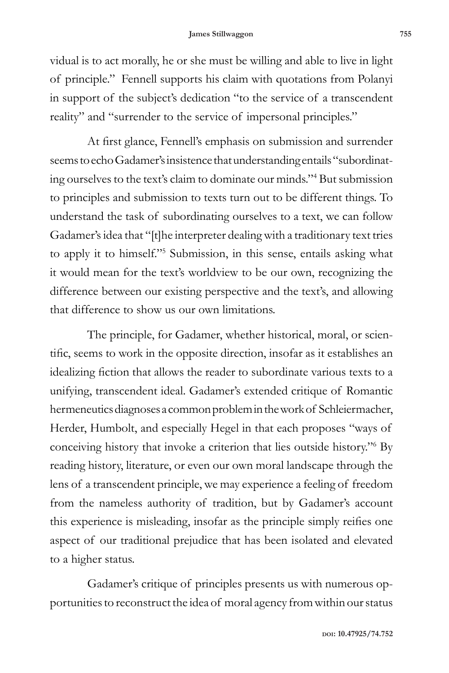vidual is to act morally, he or she must be willing and able to live in light of principle." Fennell supports his claim with quotations from Polanyi in support of the subject's dedication "to the service of a transcendent reality" and "surrender to the service of impersonal principles."

At first glance, Fennell's emphasis on submission and surrender seems to echo Gadamer's insistence that understanding entails "subordinating ourselves to the text's claim to dominate our minds."4 But submission to principles and submission to texts turn out to be different things. To understand the task of subordinating ourselves to a text, we can follow Gadamer's idea that "[t]he interpreter dealing with a traditionary text tries to apply it to himself."5 Submission, in this sense, entails asking what it would mean for the text's worldview to be our own, recognizing the difference between our existing perspective and the text's, and allowing that difference to show us our own limitations.

The principle, for Gadamer, whether historical, moral, or scientific, seems to work in the opposite direction, insofar as it establishes an idealizing fiction that allows the reader to subordinate various texts to a unifying, transcendent ideal. Gadamer's extended critique of Romantic hermeneutics diagnoses a common problem in the work of Schleiermacher, Herder, Humbolt, and especially Hegel in that each proposes "ways of conceiving history that invoke a criterion that lies outside history."6 By reading history, literature, or even our own moral landscape through the lens of a transcendent principle, we may experience a feeling of freedom from the nameless authority of tradition, but by Gadamer's account this experience is misleading, insofar as the principle simply reifies one aspect of our traditional prejudice that has been isolated and elevated to a higher status.

Gadamer's critique of principles presents us with numerous opportunities to reconstruct the idea of moral agency from within our status